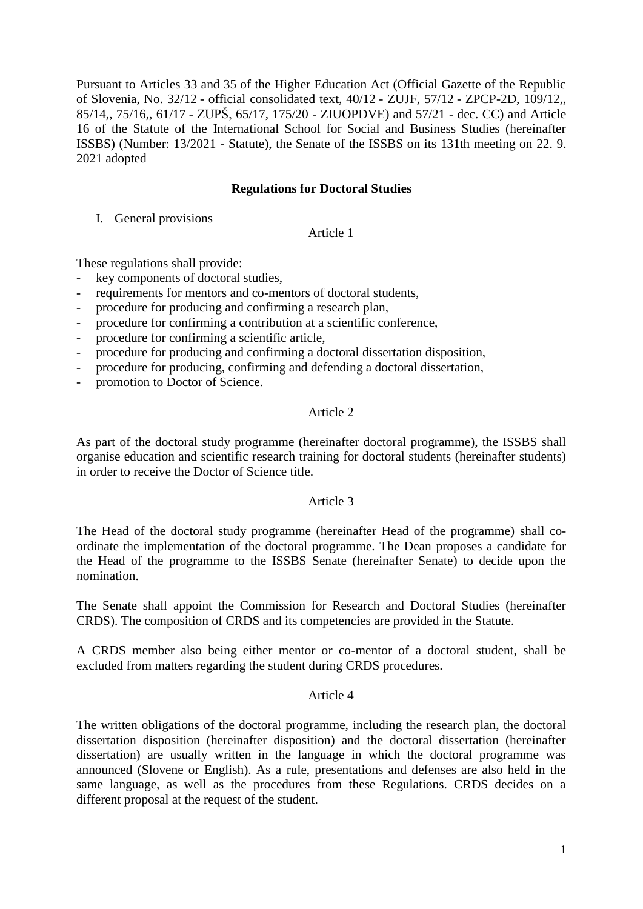Pursuant to Articles 33 and 35 of the Higher Education Act (Official Gazette of the Republic of Slovenia, No. [32/12](http://www.uradni-list.si/1/objava.jsp?sop=2012-01-1406) - official consolidated text, [40/12](http://www.uradni-list.si/1/objava.jsp?sop=2012-01-1700) - ZUJF, [57/12](http://www.uradni-list.si/1/objava.jsp?sop=2012-01-2410) - ZPCP-2D, [109/12,](http://www.uradni-list.si/1/objava.jsp?sop=2012-01-4320), [85/14,](http://www.uradni-list.si/1/objava.jsp?sop=2014-01-3443), [75/16,](http://www.uradni-list.si/1/objava.jsp?sop=2016-01-3209), [61/17](http://www.uradni-list.si/1/objava.jsp?sop=2017-01-2917) - ZUPŠ, [65/17,](http://www.uradni-list.si/1/objava.jsp?sop=2017-01-3065) 175/20 - ZIUOPDVE) and 57/21 - dec. CC) and Article 16 of the Statute of the International School for Social and Business Studies (hereinafter ISSBS) (Number: 13/2021 - Statute), the Senate of the ISSBS on its 131th meeting on 22. 9. 2021 adopted

## **Regulations for Doctoral Studies**

I. General provisions

Article 1

These regulations shall provide:

- key components of doctoral studies,
- requirements for mentors and co-mentors of doctoral students,
- procedure for producing and confirming a research plan,
- procedure for confirming a contribution at a scientific conference,
- procedure for confirming a scientific article,
- procedure for producing and confirming a doctoral dissertation disposition,
- procedure for producing, confirming and defending a doctoral dissertation,
- promotion to Doctor of Science.

## Article 2

As part of the doctoral study programme (hereinafter doctoral programme), the ISSBS shall organise education and scientific research training for doctoral students (hereinafter students) in order to receive the Doctor of Science title.

## Article 3

The Head of the doctoral study programme (hereinafter Head of the programme) shall coordinate the implementation of the doctoral programme. The Dean proposes a candidate for the Head of the programme to the ISSBS Senate (hereinafter Senate) to decide upon the nomination.

The Senate shall appoint the Commission for Research and Doctoral Studies (hereinafter CRDS). The composition of CRDS and its competencies are provided in the Statute.

A CRDS member also being either mentor or co-mentor of a doctoral student, shall be excluded from matters regarding the student during CRDS procedures.

#### Article 4

The written obligations of the doctoral programme, including the research plan, the doctoral dissertation disposition (hereinafter disposition) and the doctoral dissertation (hereinafter dissertation) are usually written in the language in which the doctoral programme was announced (Slovene or English). As a rule, presentations and defenses are also held in the same language, as well as the procedures from these Regulations. CRDS decides on a different proposal at the request of the student.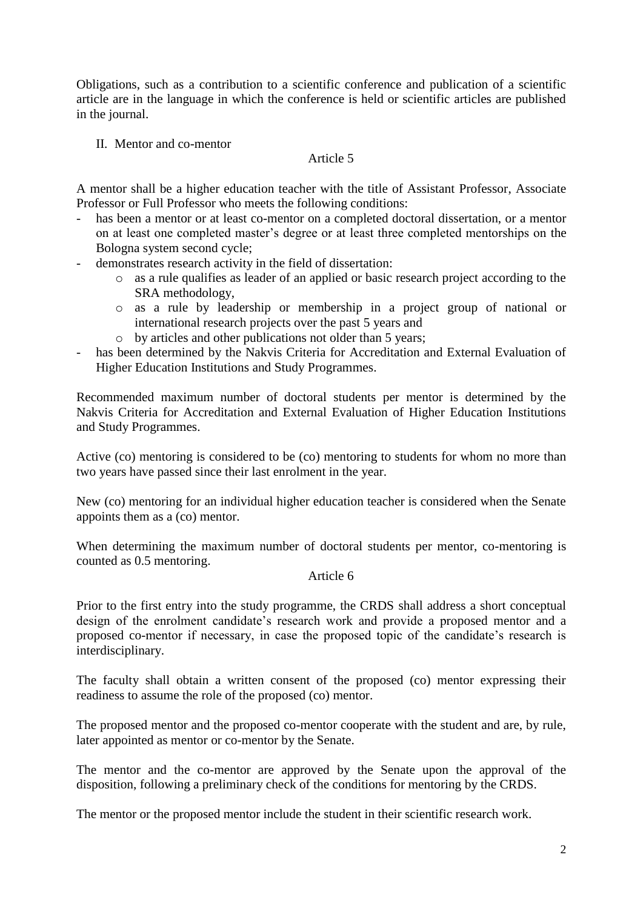Obligations, such as a contribution to a scientific conference and publication of a scientific article are in the language in which the conference is held or scientific articles are published in the journal.

II. Mentor and co-mentor

# Article 5

A mentor shall be a higher education teacher with the title of Assistant Professor, Associate Professor or Full Professor who meets the following conditions:

- has been a mentor or at least co-mentor on a completed doctoral dissertation, or a mentor on at least one completed master's degree or at least three completed mentorships on the Bologna system second cycle;
- demonstrates research activity in the field of dissertation:
	- o as a rule qualifies as leader of an applied or basic research project according to the SRA methodology,
	- o as a rule by leadership or membership in a project group of national or international research projects over the past 5 years and
	- o by articles and other publications not older than 5 years;
- has been determined by the Nakvis Criteria for Accreditation and External Evaluation of Higher Education Institutions and Study Programmes.

Recommended maximum number of doctoral students per mentor is determined by the Nakvis Criteria for Accreditation and External Evaluation of Higher Education Institutions and Study Programmes.

Active (co) mentoring is considered to be (co) mentoring to students for whom no more than two years have passed since their last enrolment in the year.

New (co) mentoring for an individual higher education teacher is considered when the Senate appoints them as a (co) mentor.

When determining the maximum number of doctoral students per mentor, co-mentoring is counted as 0.5 mentoring.

# Article 6

Prior to the first entry into the study programme, the CRDS shall address a short conceptual design of the enrolment candidate's research work and provide a proposed mentor and a proposed co-mentor if necessary, in case the proposed topic of the candidate's research is interdisciplinary.

The faculty shall obtain a written consent of the proposed (co) mentor expressing their readiness to assume the role of the proposed (co) mentor.

The proposed mentor and the proposed co-mentor cooperate with the student and are, by rule, later appointed as mentor or co-mentor by the Senate.

The mentor and the co-mentor are approved by the Senate upon the approval of the disposition, following a preliminary check of the conditions for mentoring by the CRDS.

The mentor or the proposed mentor include the student in their scientific research work.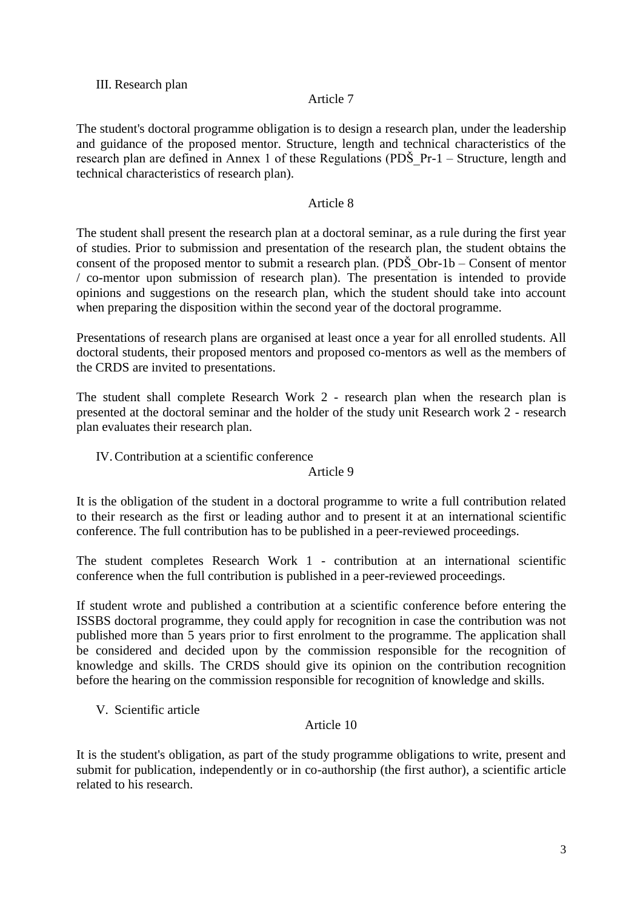## III. Research plan

## Article 7

The student's doctoral programme obligation is to design a research plan, under the leadership and guidance of the proposed mentor. Structure, length and technical characteristics of the research plan are defined in Annex 1 of these Regulations (PDŠ\_Pr-1 – Structure, length and technical characteristics of research plan).

## Article 8

The student shall present the research plan at a doctoral seminar, as a rule during the first year of studies. Prior to submission and presentation of the research plan, the student obtains the consent of the proposed mentor to submit a research plan. (PDS  $Obr-1b - Constant$  of mentor / co-mentor upon submission of research plan). The presentation is intended to provide opinions and suggestions on the research plan, which the student should take into account when preparing the disposition within the second year of the doctoral programme.

Presentations of research plans are organised at least once a year for all enrolled students. All doctoral students, their proposed mentors and proposed co-mentors as well as the members of the CRDS are invited to presentations.

The student shall complete Research Work 2 - research plan when the research plan is presented at the doctoral seminar and the holder of the study unit Research work 2 - research plan evaluates their research plan.

IV.Contribution at a scientific conference

#### Article 9

It is the obligation of the student in a doctoral programme to write a full contribution related to their research as the first or leading author and to present it at an international scientific conference. The full contribution has to be published in a peer-reviewed proceedings.

The student completes Research Work 1 - contribution at an international scientific conference when the full contribution is published in a peer-reviewed proceedings.

If student wrote and published a contribution at a scientific conference before entering the ISSBS doctoral programme, they could apply for recognition in case the contribution was not published more than 5 years prior to first enrolment to the programme. The application shall be considered and decided upon by the commission responsible for the recognition of knowledge and skills. The CRDS should give its opinion on the contribution recognition before the hearing on the commission responsible for recognition of knowledge and skills.

V. Scientific article

#### Article 10

It is the student's obligation, as part of the study programme obligations to write, present and submit for publication, independently or in co-authorship (the first author), a scientific article related to his research.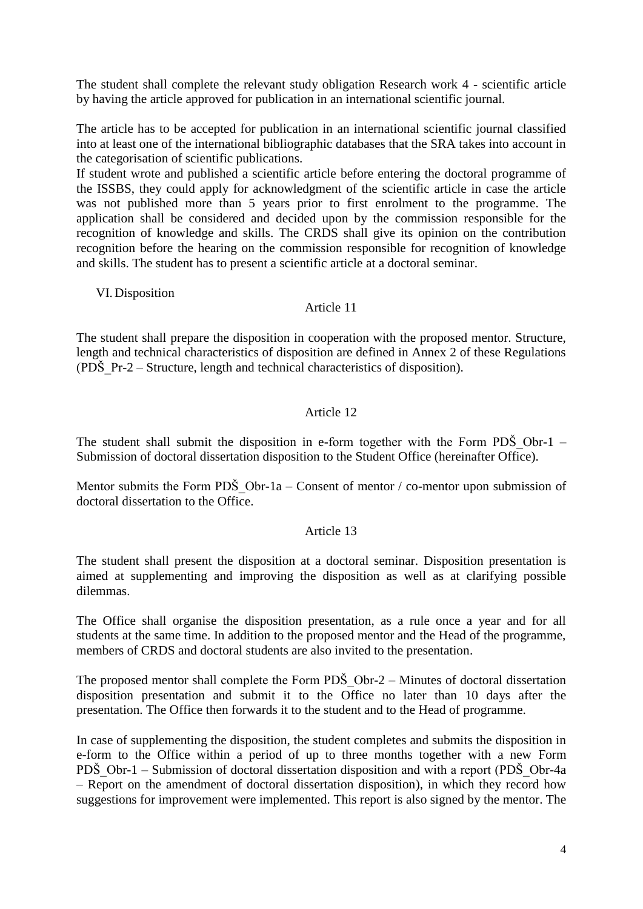The student shall complete the relevant study obligation Research work 4 - scientific article by having the article approved for publication in an international scientific journal.

The article has to be accepted for publication in an international scientific journal classified into at least one of the international bibliographic databases that the SRA takes into account in the categorisation of scientific publications.

If student wrote and published a scientific article before entering the doctoral programme of the ISSBS, they could apply for acknowledgment of the scientific article in case the article was not published more than 5 years prior to first enrolment to the programme. The application shall be considered and decided upon by the commission responsible for the recognition of knowledge and skills. The CRDS shall give its opinion on the contribution recognition before the hearing on the commission responsible for recognition of knowledge and skills. The student has to present a scientific article at a doctoral seminar.

VI. Disposition

## Article 11

The student shall prepare the disposition in cooperation with the proposed mentor. Structure, length and technical characteristics of disposition are defined in Annex 2 of these Regulations (PDŠ\_Pr-2 – Structure, length and technical characteristics of disposition).

# Article 12

The student shall submit the disposition in e-form together with the Form PDS Obr-1 – Submission of doctoral dissertation disposition to the Student Office (hereinafter Office).

Mentor submits the Form PDS Obr-1a – Consent of mentor / co-mentor upon submission of doctoral dissertation to the Office.

#### Article 13

The student shall present the disposition at a doctoral seminar. Disposition presentation is aimed at supplementing and improving the disposition as well as at clarifying possible dilemmas.

The Office shall organise the disposition presentation, as a rule once a year and for all students at the same time. In addition to the proposed mentor and the Head of the programme, members of CRDS and doctoral students are also invited to the presentation.

The proposed mentor shall complete the Form PDS  $Obr-2$  – Minutes of doctoral dissertation disposition presentation and submit it to the Office no later than 10 days after the presentation. The Office then forwards it to the student and to the Head of programme.

In case of supplementing the disposition, the student completes and submits the disposition in e-form to the Office within a period of up to three months together with a new Form PDŠ\_Obr-1 – Submission of doctoral dissertation disposition and with a report (PDŠ\_Obr-4a – Report on the amendment of doctoral dissertation disposition), in which they record how suggestions for improvement were implemented. This report is also signed by the mentor. The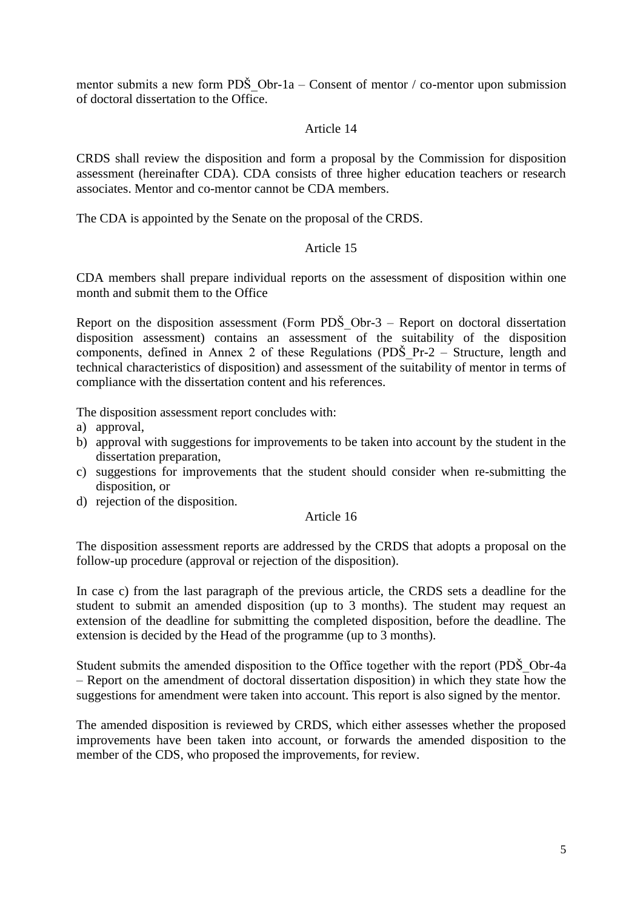mentor submits a new form PDS Obr-1a – Consent of mentor / co-mentor upon submission of doctoral dissertation to the Office.

## Article 14

CRDS shall review the disposition and form a proposal by the Commission for disposition assessment (hereinafter CDA). CDA consists of three higher education teachers or research associates. Mentor and co-mentor cannot be CDA members.

The CDA is appointed by the Senate on the proposal of the CRDS.

## Article 15

CDA members shall prepare individual reports on the assessment of disposition within one month and submit them to the Office

Report on the disposition assessment (Form PDS Obr-3 – Report on doctoral dissertation disposition assessment) contains an assessment of the suitability of the disposition components, defined in Annex 2 of these Regulations (PDŠ\_Pr-2 – Structure, length and technical characteristics of disposition) and assessment of the suitability of mentor in terms of compliance with the dissertation content and his references.

The disposition assessment report concludes with:

- a) approval,
- b) approval with suggestions for improvements to be taken into account by the student in the dissertation preparation,
- c) suggestions for improvements that the student should consider when re-submitting the disposition, or
- d) rejection of the disposition.

#### Article 16

The disposition assessment reports are addressed by the CRDS that adopts a proposal on the follow-up procedure (approval or rejection of the disposition).

In case c) from the last paragraph of the previous article, the CRDS sets a deadline for the student to submit an amended disposition (up to 3 months). The student may request an extension of the deadline for submitting the completed disposition, before the deadline. The extension is decided by the Head of the programme (up to 3 months).

Student submits the amended disposition to the Office together with the report (PDŠ\_Obr-4a – Report on the amendment of doctoral dissertation disposition) in which they state how the suggestions for amendment were taken into account. This report is also signed by the mentor.

The amended disposition is reviewed by CRDS, which either assesses whether the proposed improvements have been taken into account, or forwards the amended disposition to the member of the CDS, who proposed the improvements, for review.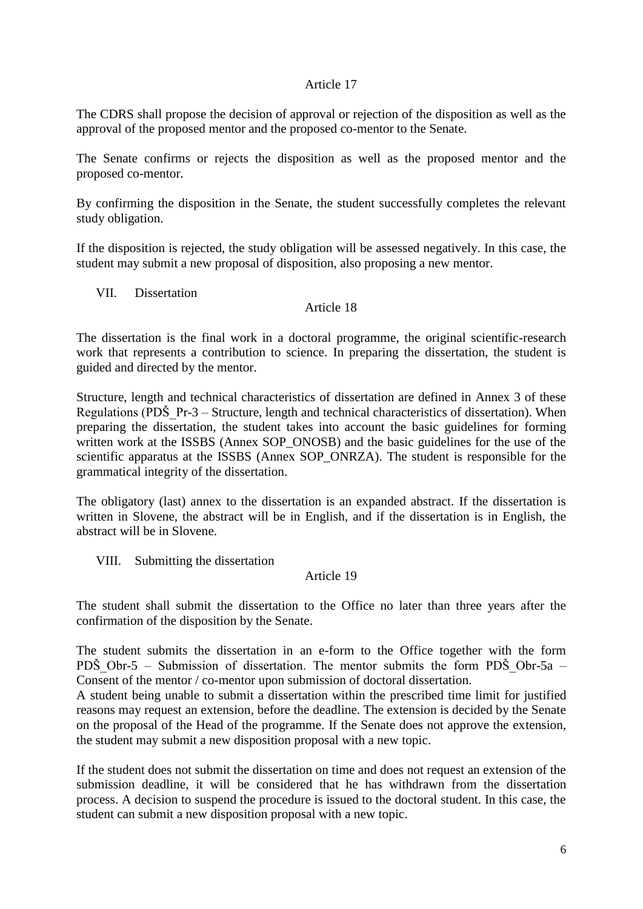The CDRS shall propose the decision of approval or rejection of the disposition as well as the approval of the proposed mentor and the proposed co-mentor to the Senate.

The Senate confirms or rejects the disposition as well as the proposed mentor and the proposed co-mentor.

By confirming the disposition in the Senate, the student successfully completes the relevant study obligation.

If the disposition is rejected, the study obligation will be assessed negatively. In this case, the student may submit a new proposal of disposition, also proposing a new mentor.

VII. Dissertation

## Article 18

The dissertation is the final work in a doctoral programme, the original scientific-research work that represents a contribution to science. In preparing the dissertation, the student is guided and directed by the mentor.

Structure, length and technical characteristics of dissertation are defined in Annex 3 of these Regulations (PDS  $Pr-3$  – Structure, length and technical characteristics of dissertation). When preparing the dissertation, the student takes into account the basic guidelines for forming written work at the ISSBS (Annex SOP\_ONOSB) and the basic guidelines for the use of the scientific apparatus at the ISSBS (Annex SOP\_ONRZA). The student is responsible for the grammatical integrity of the dissertation.

The obligatory (last) annex to the dissertation is an expanded abstract. If the dissertation is written in Slovene, the abstract will be in English, and if the dissertation is in English, the abstract will be in Slovene.

VIII. Submitting the dissertation

# Article 19

The student shall submit the dissertation to the Office no later than three years after the confirmation of the disposition by the Senate.

The student submits the dissertation in an e-form to the Office together with the form PDŠ Obr-5 – Submission of dissertation. The mentor submits the form PDŠ Obr-5a – Consent of the mentor / co-mentor upon submission of doctoral dissertation.

A student being unable to submit a dissertation within the prescribed time limit for justified reasons may request an extension, before the deadline. The extension is decided by the Senate on the proposal of the Head of the programme. If the Senate does not approve the extension, the student may submit a new disposition proposal with a new topic.

If the student does not submit the dissertation on time and does not request an extension of the submission deadline, it will be considered that he has withdrawn from the dissertation process. A decision to suspend the procedure is issued to the doctoral student. In this case, the student can submit a new disposition proposal with a new topic.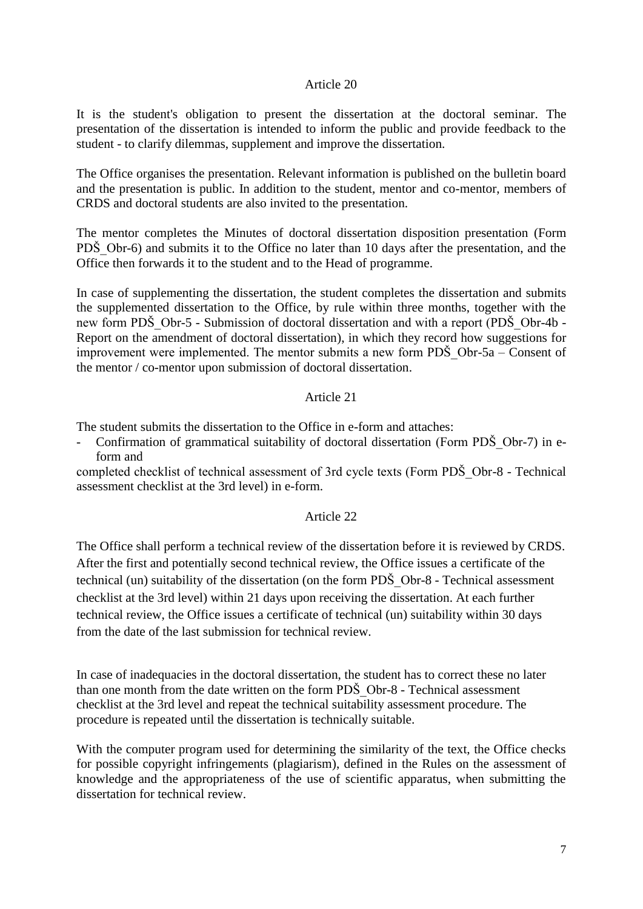It is the student's obligation to present the dissertation at the doctoral seminar. The presentation of the dissertation is intended to inform the public and provide feedback to the student - to clarify dilemmas, supplement and improve the dissertation.

The Office organises the presentation. Relevant information is published on the bulletin board and the presentation is public. In addition to the student, mentor and co-mentor, members of CRDS and doctoral students are also invited to the presentation.

The mentor completes the Minutes of doctoral dissertation disposition presentation (Form PDS Obr-6) and submits it to the Office no later than 10 days after the presentation, and the Office then forwards it to the student and to the Head of programme.

In case of supplementing the dissertation, the student completes the dissertation and submits the supplemented dissertation to the Office, by rule within three months, together with the new form PDS Obr-5 - Submission of doctoral dissertation and with a report (PDS Obr-4b -Report on the amendment of doctoral dissertation), in which they record how suggestions for improvement were implemented. The mentor submits a new form  $PD\check{S}$  Obr-5a – Consent of the mentor / co-mentor upon submission of doctoral dissertation.

#### Article 21

The student submits the dissertation to the Office in e-form and attaches:

Confirmation of grammatical suitability of doctoral dissertation (Form PDS Obr-7) in eform and

completed checklist of technical assessment of 3rd cycle texts (Form PDŠ\_Obr-8 - Technical assessment checklist at the 3rd level) in e-form.

## Article 22

The Office shall perform a technical review of the dissertation before it is reviewed by CRDS. After the first and potentially second technical review, the Office issues a certificate of the technical (un) suitability of the dissertation (on the form PDŠ\_Obr-8 - Technical assessment checklist at the 3rd level) within 21 days upon receiving the dissertation. At each further technical review, the Office issues a certificate of technical (un) suitability within 30 days from the date of the last submission for technical review.

In case of inadequacies in the doctoral dissertation, the student has to correct these no later than one month from the date written on the form PDS Obr-8 - Technical assessment checklist at the 3rd level and repeat the technical suitability assessment procedure. The procedure is repeated until the dissertation is technically suitable.

With the computer program used for determining the similarity of the text, the Office checks for possible copyright infringements (plagiarism), defined in the Rules on the assessment of knowledge and the appropriateness of the use of scientific apparatus, when submitting the dissertation for technical review.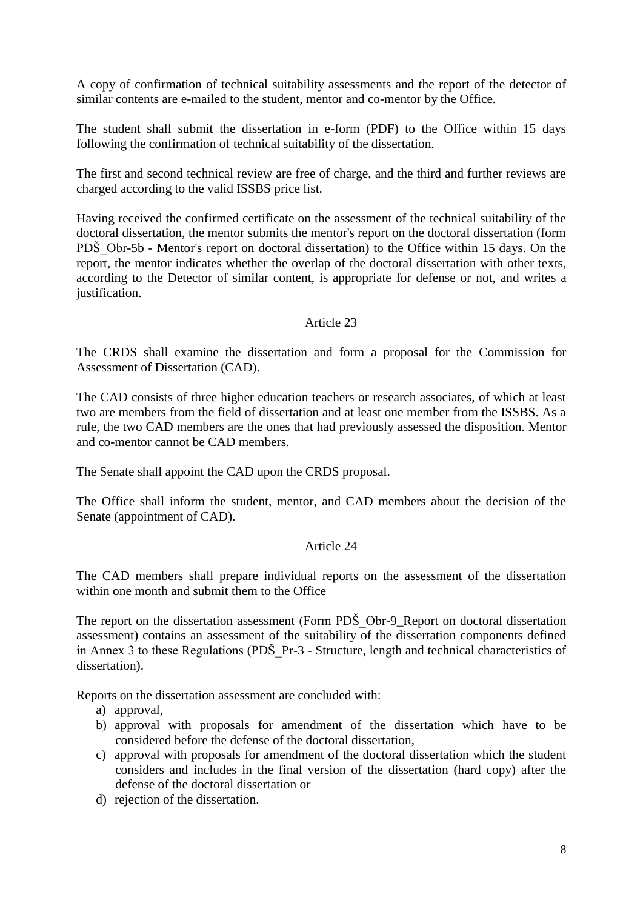A copy of confirmation of technical suitability assessments and the report of the detector of similar contents are e-mailed to the student, mentor and co-mentor by the Office.

The student shall submit the dissertation in e-form (PDF) to the Office within 15 days following the confirmation of technical suitability of the dissertation.

The first and second technical review are free of charge, and the third and further reviews are charged according to the valid ISSBS price list.

Having received the confirmed certificate on the assessment of the technical suitability of the doctoral dissertation, the mentor submits the mentor's report on the doctoral dissertation (form PDS Obr-5b - Mentor's report on doctoral dissertation) to the Office within 15 days. On the report, the mentor indicates whether the overlap of the doctoral dissertation with other texts, according to the Detector of similar content, is appropriate for defense or not, and writes a justification.

#### Article 23

The CRDS shall examine the dissertation and form a proposal for the Commission for Assessment of Dissertation (CAD).

The CAD consists of three higher education teachers or research associates, of which at least two are members from the field of dissertation and at least one member from the ISSBS. As a rule, the two CAD members are the ones that had previously assessed the disposition. Mentor and co-mentor cannot be CAD members.

The Senate shall appoint the CAD upon the CRDS proposal.

The Office shall inform the student, mentor, and CAD members about the decision of the Senate (appointment of CAD).

#### Article 24

The CAD members shall prepare individual reports on the assessment of the dissertation within one month and submit them to the Office

The report on the dissertation assessment (Form PDS Obr-9 Report on doctoral dissertation assessment) contains an assessment of the suitability of the dissertation components defined in Annex 3 to these Regulations (PDŠ\_Pr-3 - Structure, length and technical characteristics of dissertation).

Reports on the dissertation assessment are concluded with:

- a) approval,
- b) approval with proposals for amendment of the dissertation which have to be considered before the defense of the doctoral dissertation,
- c) approval with proposals for amendment of the doctoral dissertation which the student considers and includes in the final version of the dissertation (hard copy) after the defense of the doctoral dissertation or
- d) rejection of the dissertation.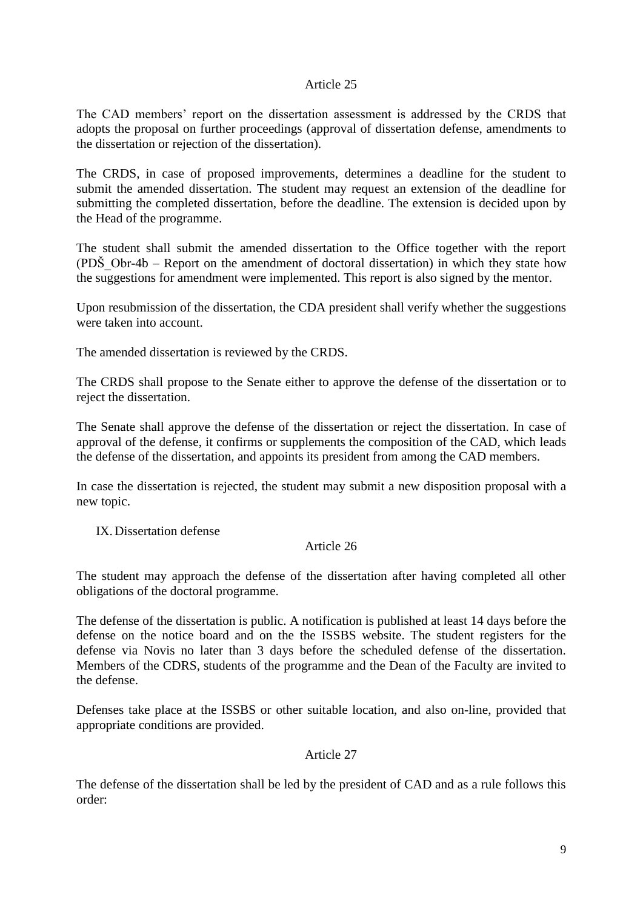The CAD members' report on the dissertation assessment is addressed by the CRDS that adopts the proposal on further proceedings (approval of dissertation defense, amendments to the dissertation or rejection of the dissertation).

The CRDS, in case of proposed improvements, determines a deadline for the student to submit the amended dissertation. The student may request an extension of the deadline for submitting the completed dissertation, before the deadline. The extension is decided upon by the Head of the programme.

The student shall submit the amended dissertation to the Office together with the report (PDS Obr-4b – Report on the amendment of doctoral dissertation) in which they state how the suggestions for amendment were implemented. This report is also signed by the mentor.

Upon resubmission of the dissertation, the CDA president shall verify whether the suggestions were taken into account.

The amended dissertation is reviewed by the CRDS.

The CRDS shall propose to the Senate either to approve the defense of the dissertation or to reject the dissertation.

The Senate shall approve the defense of the dissertation or reject the dissertation. In case of approval of the defense, it confirms or supplements the composition of the CAD, which leads the defense of the dissertation, and appoints its president from among the CAD members.

In case the dissertation is rejected, the student may submit a new disposition proposal with a new topic.

IX. Dissertation defense

#### Article 26

The student may approach the defense of the dissertation after having completed all other obligations of the doctoral programme.

The defense of the dissertation is public. A notification is published at least 14 days before the defense on the notice board and on the the ISSBS website. The student registers for the defense via Novis no later than 3 days before the scheduled defense of the dissertation. Members of the CDRS, students of the programme and the Dean of the Faculty are invited to the defense.

Defenses take place at the ISSBS or other suitable location, and also on-line, provided that appropriate conditions are provided.

Article 27

The defense of the dissertation shall be led by the president of CAD and as a rule follows this order: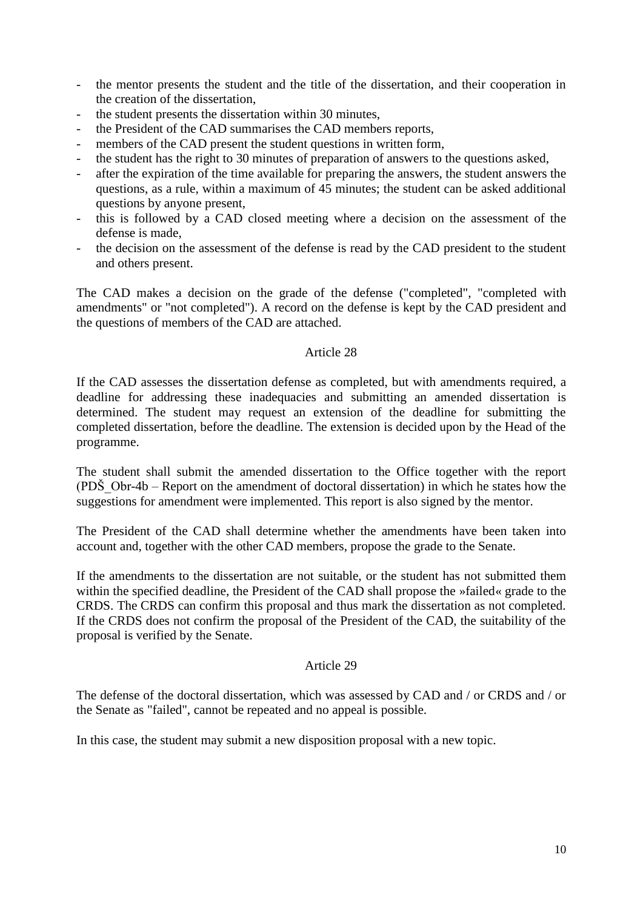- the mentor presents the student and the title of the dissertation, and their cooperation in the creation of the dissertation,
- the student presents the dissertation within 30 minutes,
- the President of the CAD summarises the CAD members reports,
- members of the CAD present the student questions in written form,
- the student has the right to 30 minutes of preparation of answers to the questions asked,
- after the expiration of the time available for preparing the answers, the student answers the questions, as a rule, within a maximum of 45 minutes; the student can be asked additional questions by anyone present,
- this is followed by a CAD closed meeting where a decision on the assessment of the defense is made,
- the decision on the assessment of the defense is read by the CAD president to the student and others present.

The CAD makes a decision on the grade of the defense ("completed", "completed with amendments" or "not completed"). A record on the defense is kept by the CAD president and the questions of members of the CAD are attached.

#### Article 28

If the CAD assesses the dissertation defense as completed, but with amendments required, a deadline for addressing these inadequacies and submitting an amended dissertation is determined. The student may request an extension of the deadline for submitting the completed dissertation, before the deadline. The extension is decided upon by the Head of the programme.

The student shall submit the amended dissertation to the Office together with the report (PDŠ\_Obr-4b – Report on the amendment of doctoral dissertation) in which he states how the suggestions for amendment were implemented. This report is also signed by the mentor.

The President of the CAD shall determine whether the amendments have been taken into account and, together with the other CAD members, propose the grade to the Senate.

If the amendments to the dissertation are not suitable, or the student has not submitted them within the specified deadline, the President of the CAD shall propose the »failed« grade to the CRDS. The CRDS can confirm this proposal and thus mark the dissertation as not completed. If the CRDS does not confirm the proposal of the President of the CAD, the suitability of the proposal is verified by the Senate.

#### Article 29

The defense of the doctoral dissertation, which was assessed by CAD and / or CRDS and / or the Senate as "failed", cannot be repeated and no appeal is possible.

In this case, the student may submit a new disposition proposal with a new topic.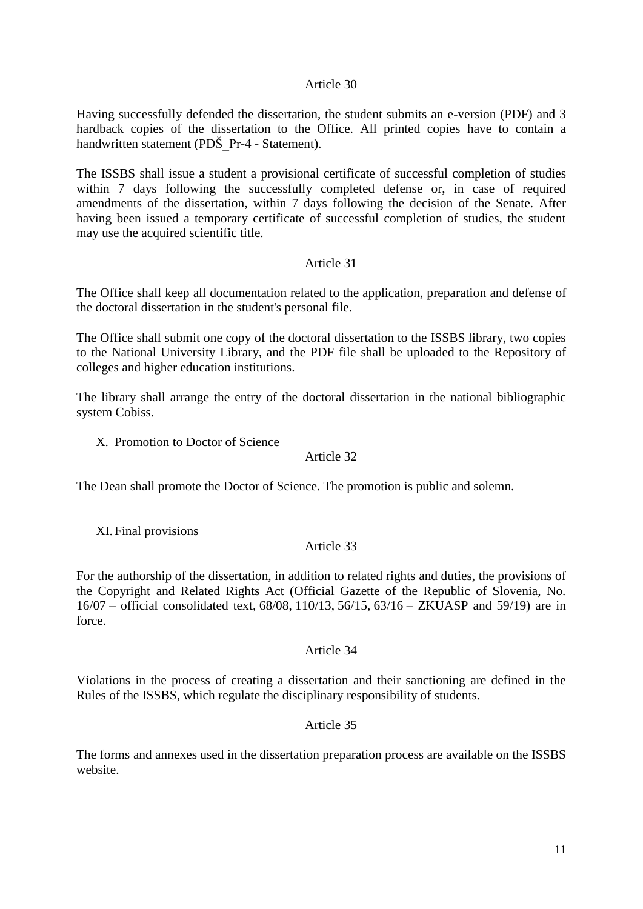Having successfully defended the dissertation, the student submits an e-version (PDF) and 3 hardback copies of the dissertation to the Office. All printed copies have to contain a handwritten statement (PDŠ\_Pr-4 - Statement).

The ISSBS shall issue a student a provisional certificate of successful completion of studies within 7 days following the successfully completed defense or, in case of required amendments of the dissertation, within 7 days following the decision of the Senate. After having been issued a temporary certificate of successful completion of studies, the student may use the acquired scientific title.

## Article 31

The Office shall keep all documentation related to the application, preparation and defense of the doctoral dissertation in the student's personal file.

The Office shall submit one copy of the doctoral dissertation to the ISSBS library, two copies to the National University Library, and the PDF file shall be uploaded to the Repository of colleges and higher education institutions.

The library shall arrange the entry of the doctoral dissertation in the national bibliographic system Cobiss.

X. Promotion to Doctor of Science

#### Article 32

The Dean shall promote the Doctor of Science. The promotion is public and solemn.

XI. Final provisions

#### Article 33

For the authorship of the dissertation, in addition to related rights and duties, the provisions of the Copyright and Related Rights Act (Official Gazette of the Republic of Slovenia, No. [16/07](http://www.uradni-list.si/1/objava.jsp?sop=2007-01-0717) – official consolidated text, [68/08,](http://www.uradni-list.si/1/objava.jsp?sop=2008-01-2962) [110/13,](http://www.uradni-list.si/1/objava.jsp?sop=2013-01-4030) [56/15,](http://www.uradni-list.si/1/objava.jsp?sop=2015-01-2358) [63/16](http://www.uradni-list.si/1/objava.jsp?sop=2016-01-2683) – ZKUASP and 59/19) are in force.

#### Article 34

Violations in the process of creating a dissertation and their sanctioning are defined in the Rules of the ISSBS, which regulate the disciplinary responsibility of students.

#### Article 35

The forms and annexes used in the dissertation preparation process are available on the ISSBS website.